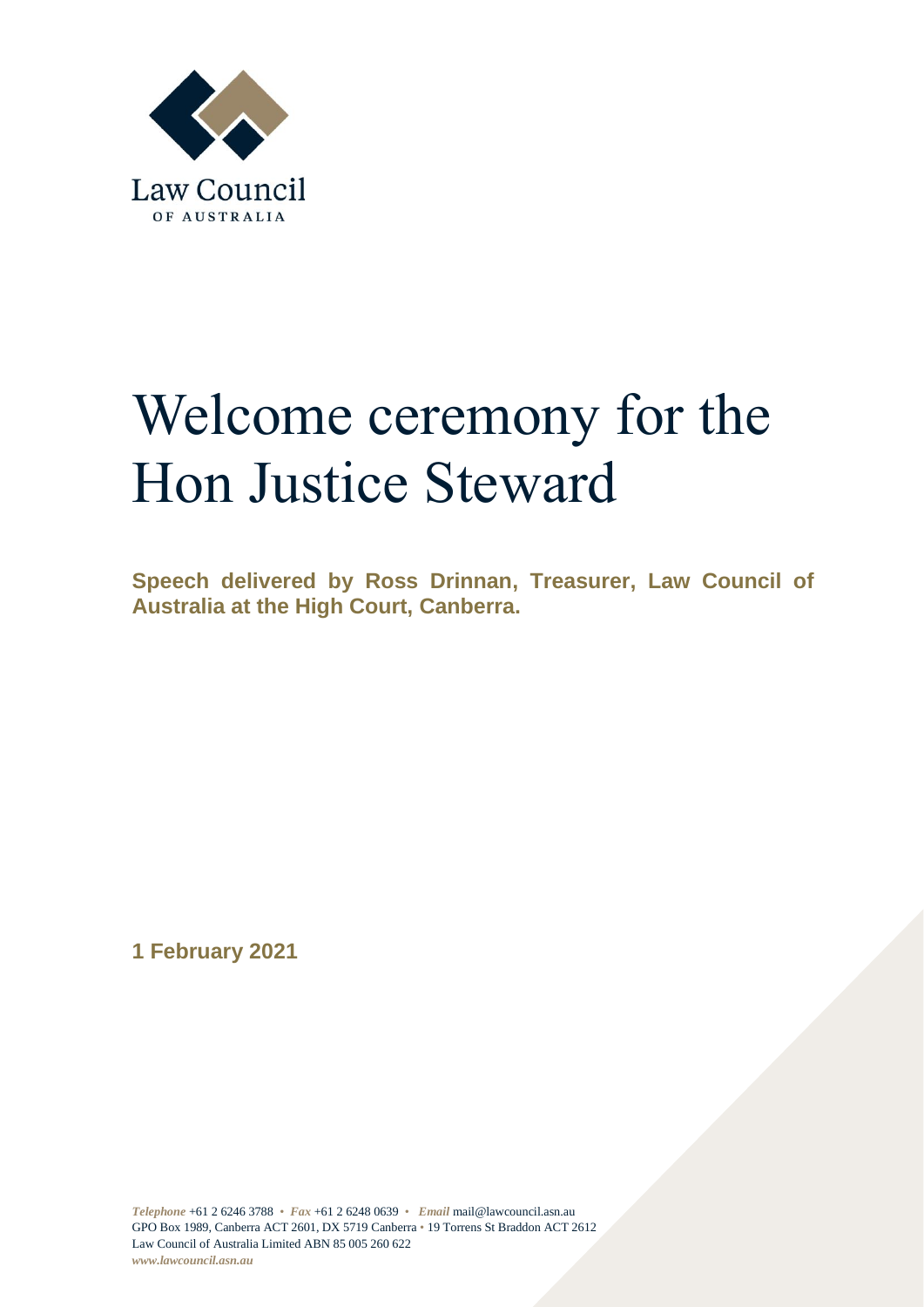

## Welcome ceremony for the Hon Justice Steward

**Speech delivered by Ross Drinnan, Treasurer, Law Council of Australia at the High Court, Canberra.** 

**1 February 2021**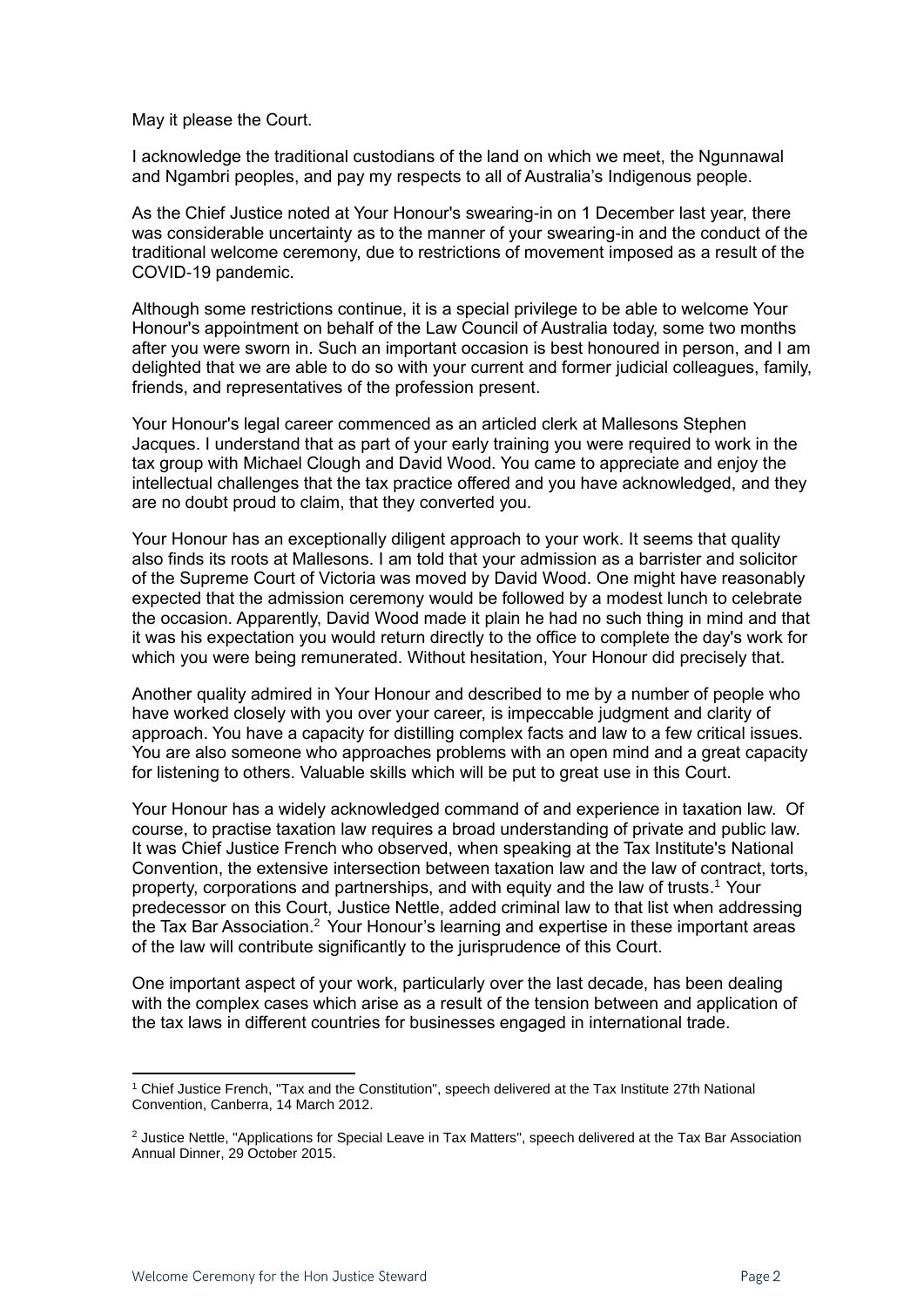May it please the Court.

I acknowledge the traditional custodians of the land on which we meet, the Ngunnawal and Ngambri peoples, and pay my respects to all of Australia's Indigenous people.

As the Chief Justice noted at Your Honour's swearing-in on 1 December last year, there was considerable uncertainty as to the manner of your swearing-in and the conduct of the traditional welcome ceremony, due to restrictions of movement imposed as a result of the COVID-19 pandemic.

Although some restrictions continue, it is a special privilege to be able to welcome Your Honour's appointment on behalf of the Law Council of Australia today, some two months after you were sworn in. Such an important occasion is best honoured in person, and I am delighted that we are able to do so with your current and former judicial colleagues, family, friends, and representatives of the profession present.

Your Honour's legal career commenced as an articled clerk at Mallesons Stephen Jacques. I understand that as part of your early training you were required to work in the tax group with Michael Clough and David Wood. You came to appreciate and enjoy the intellectual challenges that the tax practice offered and you have acknowledged, and they are no doubt proud to claim, that they converted you.

Your Honour has an exceptionally diligent approach to your work. It seems that quality also finds its roots at Mallesons. I am told that your admission as a barrister and solicitor of the Supreme Court of Victoria was moved by David Wood. One might have reasonably expected that the admission ceremony would be followed by a modest lunch to celebrate the occasion. Apparently, David Wood made it plain he had no such thing in mind and that it was his expectation you would return directly to the office to complete the day's work for which you were being remunerated. Without hesitation, Your Honour did precisely that.

Another quality admired in Your Honour and described to me by a number of people who have worked closely with you over your career, is impeccable judgment and clarity of approach. You have a capacity for distilling complex facts and law to a few critical issues. You are also someone who approaches problems with an open mind and a great capacity for listening to others. Valuable skills which will be put to great use in this Court.

Your Honour has a widely acknowledged command of and experience in taxation law. Of course, to practise taxation law requires a broad understanding of private and public law. It was Chief Justice French who observed, when speaking at the Tax Institute's National Convention, the extensive intersection between taxation law and the law of contract, torts, property, corporations and partnerships, and with equity and the law of trusts. <sup>1</sup> Your predecessor on this Court, Justice Nettle, added criminal law to that list when addressing the Tax Bar Association.<sup>2</sup> Your Honour's learning and expertise in these important areas of the law will contribute significantly to the jurisprudence of this Court.

One important aspect of your work, particularly over the last decade, has been dealing with the complex cases which arise as a result of the tension between and application of the tax laws in different countries for businesses engaged in international trade.

<sup>1</sup> Chief Justice French, "Tax and the Constitution", speech delivered at the Tax Institute 27th National Convention, Canberra, 14 March 2012.

<sup>&</sup>lt;sup>2</sup> Justice Nettle, "Applications for Special Leave in Tax Matters", speech delivered at the Tax Bar Association Annual Dinner, 29 October 2015.